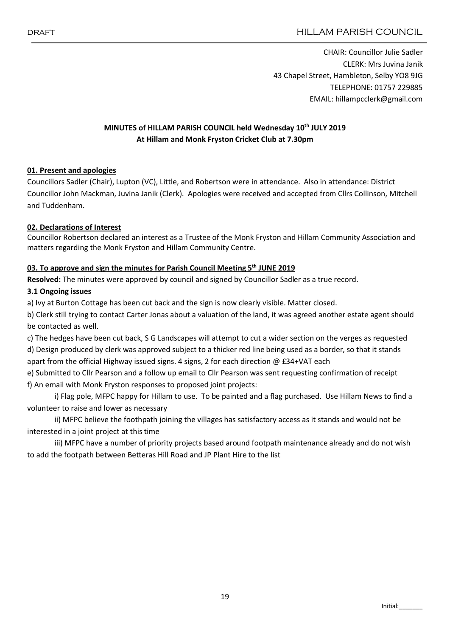CHAIR: Councillor Julie Sadler CLERK: Mrs Juvina Janik 43 Chapel Street, Hambleton, Selby YO8 9JG TELEPHONE: 01757 229885 EMAIL: hillampcclerk@gmail.com

# MINUTES of HILLAM PARISH COUNCIL held Wednesday 10<sup>th</sup> JULY 2019 At Hillam and Monk Fryston Cricket Club at 7.30pm

## 01. Present and apologies

Councillors Sadler (Chair), Lupton (VC), Little, and Robertson were in attendance. Also in attendance: District Councillor John Mackman, Juvina Janik (Clerk). Apologies were received and accepted from Cllrs Collinson, Mitchell and Tuddenham.

## 02. Declarations of Interest

Councillor Robertson declared an interest as a Trustee of the Monk Fryston and Hillam Community Association and matters regarding the Monk Fryston and Hillam Community Centre.

## 03. To approve and sign the minutes for Parish Council Meeting 5<sup>th</sup> JUNE 2019

Resolved: The minutes were approved by council and signed by Councillor Sadler as a true record.

## 3.1 Ongoing issues

a) Ivy at Burton Cottage has been cut back and the sign is now clearly visible. Matter closed.

b) Clerk still trying to contact Carter Jonas about a valuation of the land, it was agreed another estate agent should be contacted as well.

c) The hedges have been cut back, S G Landscapes will attempt to cut a wider section on the verges as requested d) Design produced by clerk was approved subject to a thicker red line being used as a border, so that it stands apart from the official Highway issued signs. 4 signs, 2 for each direction @ £34+VAT each

e) Submitted to Cllr Pearson and a follow up email to Cllr Pearson was sent requesting confirmation of receipt f) An email with Monk Fryston responses to proposed joint projects:

i) Flag pole, MFPC happy for Hillam to use. To be painted and a flag purchased. Use Hillam News to find a volunteer to raise and lower as necessary

ii) MFPC believe the foothpath joining the villages has satisfactory access as it stands and would not be interested in a joint project at this time

iii) MFPC have a number of priority projects based around footpath maintenance already and do not wish to add the footpath between Betteras Hill Road and JP Plant Hire to the list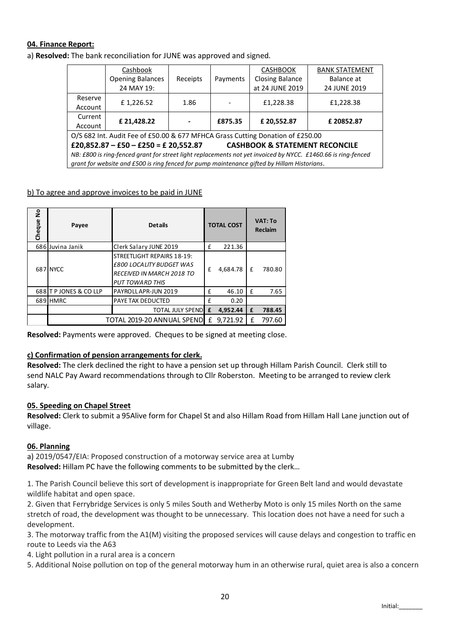## 04. Finance Report:

a) Resolved: The bank reconciliation for JUNE was approved and signed.

|                                                                                                               | Cashbook                |          |          | <b>CASHBOOK</b>        | <b>BANK STATEMENT</b> |  |  |  |  |
|---------------------------------------------------------------------------------------------------------------|-------------------------|----------|----------|------------------------|-----------------------|--|--|--|--|
|                                                                                                               | <b>Opening Balances</b> | Receipts | Payments | <b>Closing Balance</b> | Balance at            |  |  |  |  |
|                                                                                                               | 24 MAY 19:              |          |          | at 24 JUNE 2019        | 24 JUNE 2019          |  |  |  |  |
| Reserve                                                                                                       |                         |          | -        |                        | £1,228.38             |  |  |  |  |
| Account                                                                                                       | £1,226.52               | 1.86     |          | £1,228.38              |                       |  |  |  |  |
| Current                                                                                                       |                         |          |          |                        |                       |  |  |  |  |
| Account                                                                                                       | £ 21,428.22             |          | £875.35  | £20,552.87             | £20852.87             |  |  |  |  |
| O/S 682 Int. Audit Fee of £50.00 & 677 MFHCA Grass Cutting Donation of £250.00                                |                         |          |          |                        |                       |  |  |  |  |
| £20,852.87 - £50 - £250 = £ 20,552.87<br><b>CASHBOOK &amp; STATEMENT RECONCILE</b>                            |                         |          |          |                        |                       |  |  |  |  |
| NB: £800 is ring-fenced grant for street light replacements not yet invoiced by NYCC. £1460.66 is ring-fenced |                         |          |          |                        |                       |  |  |  |  |
| grant for website and £500 is ring fenced for pump maintenance gifted by Hillam Historians.                   |                         |          |          |                        |                       |  |  |  |  |

### b) To agree and approve invoices to be paid in JUNE

| $\frac{1}{2}$<br>Cheque | Payee                      | <b>Details</b>                                                                                                              | <b>TOTAL COST</b> |          | <b>VAT: To</b><br><b>Reclaim</b> |        |
|-------------------------|----------------------------|-----------------------------------------------------------------------------------------------------------------------------|-------------------|----------|----------------------------------|--------|
|                         | 686 Juvina Janik           | Clerk Salary JUNE 2019                                                                                                      | £                 | 221.36   |                                  |        |
|                         | 687 NYCC                   | STREETLIGHT REPAIRS 18-19:<br><b>£800 LOCALITY BUDGET WAS</b><br><b>RECEIVED IN MARCH 2018 TO</b><br><b>PUT TOWARD THIS</b> | £                 | 4,684.78 | f                                | 780.80 |
|                         | 688 T P JONES & CO LLP     | PAYROLL APR-JUN 2019                                                                                                        | £                 | 46.10    | £                                | 7.65   |
|                         | 689 HMRC                   | PAYE TAX DEDUCTED                                                                                                           | £                 | 0.20     |                                  |        |
|                         |                            | <b>TOTAL JULY SPEND</b>                                                                                                     | £                 | 4.952.44 | £                                | 788.45 |
|                         | TOTAL 2019-20 ANNUAL SPEND |                                                                                                                             |                   | 9.721.92 | f                                | 797.60 |

Resolved: Payments were approved. Cheques to be signed at meeting close.

#### c) Confirmation of pension arrangements for clerk.

Resolved: The clerk declined the right to have a pension set up through Hillam Parish Council. Clerk still to send NALC Pay Award recommendations through to Cllr Roberston. Meeting to be arranged to review clerk salary.

#### 05. Speeding on Chapel Street

Resolved: Clerk to submit a 95Alive form for Chapel St and also Hillam Road from Hillam Hall Lane junction out of village.

#### 06. Planning

a) 2019/0547/EIA: Proposed construction of a motorway service area at Lumby Resolved: Hillam PC have the following comments to be submitted by the clerk…

1. The Parish Council believe this sort of development is inappropriate for Green Belt land and would devastate wildlife habitat and open space.

2. Given that Ferrybridge Services is only 5 miles South and Wetherby Moto is only 15 miles North on the same stretch of road, the development was thought to be unnecessary. This location does not have a need for such a development.

3. The motorway traffic from the A1(M) visiting the proposed services will cause delays and congestion to traffic en route to Leeds via the A63

- 4. Light pollution in a rural area is a concern
- 5. Additional Noise pollution on top of the general motorway hum in an otherwise rural, quiet area is also a concern